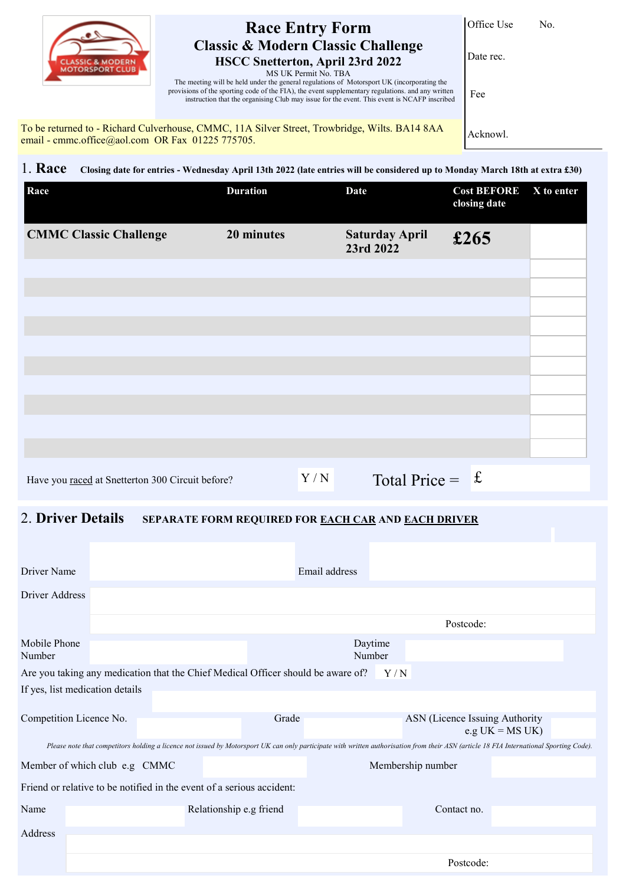| <b>CLASSIC &amp; MODERN</b> |
|-----------------------------|
| <b>MOTORSPORT CLUB</b>      |

## **Race Entry Form Classic & Modern Classic Challenge HSCC Snetterton, April 23rd 2022**

Office Use No.

Date rec.

MS UK Permit No. TBA

The meeting will be held under the general regulations of Motorsport UK (incorporating the provisions of the sporting code of the FIA), the event supplementary regulations. and any written instruction that the organising Club may issue for the event. This event is NCAFP inscribed

To be returned to - Richard Culverhouse, CMMC, 11A Silver Street, Trowbridge, Wilts. BA14 8AA email - cmmc.office@aol.com OR Fax 01225 775705.

Acknowl.

Fee

1. **Race Closing date for entries - Wednesday April 13th 2022 (late entries will be considered up to Monday March 18th at extra £30)**

| Race                                             | <b>Duration</b> |     | <b>Date</b>                        | <b>Cost BEFORE</b><br>closing date | X to enter |
|--------------------------------------------------|-----------------|-----|------------------------------------|------------------------------------|------------|
| <b>CMMC Classic Challenge</b>                    | 20 minutes      |     | <b>Saturday April</b><br>23rd 2022 | £265                               |            |
|                                                  |                 |     |                                    |                                    |            |
|                                                  |                 |     |                                    |                                    |            |
|                                                  |                 |     |                                    |                                    |            |
|                                                  |                 |     |                                    |                                    |            |
|                                                  |                 |     |                                    |                                    |            |
|                                                  |                 |     |                                    |                                    |            |
| Have you raced at Snetterton 300 Circuit before? |                 | Y/N | Total Price = $f$                  |                                    |            |

## 2. **Driver Details SEPARATE FORM REQUIRED FOR EACH CAR AND EACH DRIVER**

| <b>Driver Name</b>                                                                                                                                                                      |                                                    |                                                                                  |       | Email address     |     |                                |                    |  |
|-----------------------------------------------------------------------------------------------------------------------------------------------------------------------------------------|----------------------------------------------------|----------------------------------------------------------------------------------|-------|-------------------|-----|--------------------------------|--------------------|--|
| Driver Address                                                                                                                                                                          |                                                    |                                                                                  |       |                   |     |                                |                    |  |
|                                                                                                                                                                                         |                                                    |                                                                                  |       |                   |     | Postcode:                      |                    |  |
| Mobile Phone<br>Number                                                                                                                                                                  |                                                    |                                                                                  |       | Daytime<br>Number |     |                                |                    |  |
|                                                                                                                                                                                         |                                                    | Are you taking any medication that the Chief Medical Officer should be aware of? |       |                   | Y/N |                                |                    |  |
|                                                                                                                                                                                         | If yes, list medication details                    |                                                                                  |       |                   |     |                                |                    |  |
|                                                                                                                                                                                         |                                                    |                                                                                  |       |                   |     |                                |                    |  |
|                                                                                                                                                                                         | Competition Licence No.                            |                                                                                  | Grade |                   |     | ASN (Licence Issuing Authority | e.g $UK = MS UK$ ) |  |
| Please note that competitors holding a licence not issued by Motorsport UK can only participate with written authorisation from their ASN (article 18 FIA International Sporting Code). |                                                    |                                                                                  |       |                   |     |                                |                    |  |
|                                                                                                                                                                                         | Membership number<br>Member of which club e.g CMMC |                                                                                  |       |                   |     |                                |                    |  |
| Friend or relative to be notified in the event of a serious accident:                                                                                                                   |                                                    |                                                                                  |       |                   |     |                                |                    |  |
| Name                                                                                                                                                                                    |                                                    | Relationship e.g friend                                                          |       |                   |     | Contact no.                    |                    |  |
| Address                                                                                                                                                                                 |                                                    |                                                                                  |       |                   |     |                                |                    |  |
|                                                                                                                                                                                         |                                                    |                                                                                  |       |                   |     |                                |                    |  |
|                                                                                                                                                                                         |                                                    |                                                                                  |       |                   |     | Postcode:                      |                    |  |